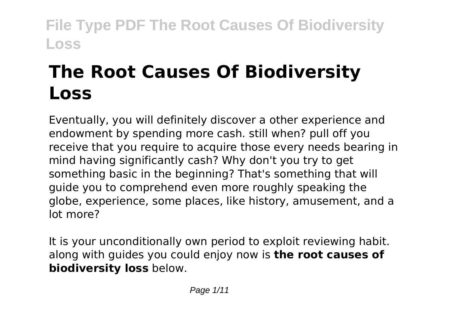# **The Root Causes Of Biodiversity Loss**

Eventually, you will definitely discover a other experience and endowment by spending more cash. still when? pull off you receive that you require to acquire those every needs bearing in mind having significantly cash? Why don't you try to get something basic in the beginning? That's something that will guide you to comprehend even more roughly speaking the globe, experience, some places, like history, amusement, and a lot more?

It is your unconditionally own period to exploit reviewing habit. along with guides you could enjoy now is **the root causes of biodiversity loss** below.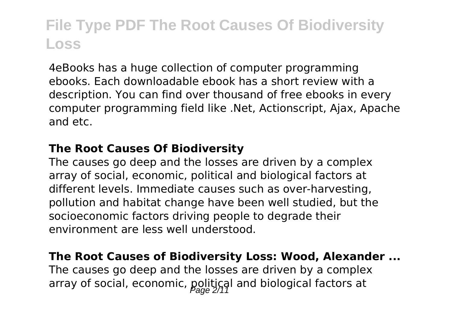4eBooks has a huge collection of computer programming ebooks. Each downloadable ebook has a short review with a description. You can find over thousand of free ebooks in every computer programming field like .Net, Actionscript, Ajax, Apache and etc.

#### **The Root Causes Of Biodiversity**

The causes go deep and the losses are driven by a complex array of social, economic, political and biological factors at different levels. Immediate causes such as over-harvesting, pollution and habitat change have been well studied, but the socioeconomic factors driving people to degrade their environment are less well understood.

#### **The Root Causes of Biodiversity Loss: Wood, Alexander ...**

The causes go deep and the losses are driven by a complex array of social, economic, political and biological factors at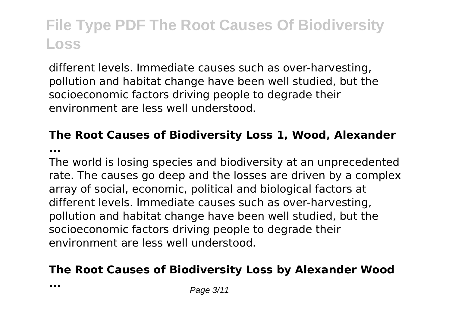different levels. Immediate causes such as over-harvesting, pollution and habitat change have been well studied, but the socioeconomic factors driving people to degrade their environment are less well understood.

### **The Root Causes of Biodiversity Loss 1, Wood, Alexander**

**...**

The world is losing species and biodiversity at an unprecedented rate. The causes go deep and the losses are driven by a complex array of social, economic, political and biological factors at different levels. Immediate causes such as over-harvesting, pollution and habitat change have been well studied, but the socioeconomic factors driving people to degrade their environment are less well understood.

### **The Root Causes of Biodiversity Loss by Alexander Wood**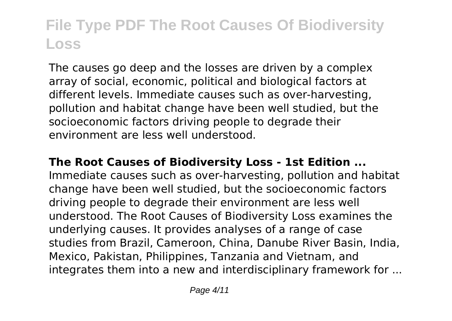The causes go deep and the losses are driven by a complex array of social, economic, political and biological factors at different levels. Immediate causes such as over-harvesting, pollution and habitat change have been well studied, but the socioeconomic factors driving people to degrade their environment are less well understood.

#### **The Root Causes of Biodiversity Loss - 1st Edition ...**

Immediate causes such as over-harvesting, pollution and habitat change have been well studied, but the socioeconomic factors driving people to degrade their environment are less well understood. The Root Causes of Biodiversity Loss examines the underlying causes. It provides analyses of a range of case studies from Brazil, Cameroon, China, Danube River Basin, India, Mexico, Pakistan, Philippines, Tanzania and Vietnam, and integrates them into a new and interdisciplinary framework for ...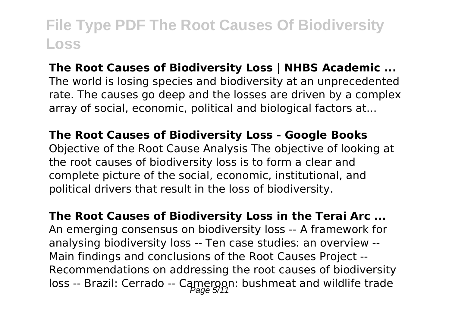#### **The Root Causes of Biodiversity Loss | NHBS Academic ...**

The world is losing species and biodiversity at an unprecedented rate. The causes go deep and the losses are driven by a complex array of social, economic, political and biological factors at...

#### **The Root Causes of Biodiversity Loss - Google Books**

Objective of the Root Cause Analysis The objective of looking at the root causes of biodiversity loss is to form a clear and complete picture of the social, economic, institutional, and political drivers that result in the loss of biodiversity.

**The Root Causes of Biodiversity Loss in the Terai Arc ...** An emerging consensus on biodiversity loss -- A framework for analysing biodiversity loss -- Ten case studies: an overview -- Main findings and conclusions of the Root Causes Project -- Recommendations on addressing the root causes of biodiversity loss -- Brazil: Cerrado -- Cameroon: bushmeat and wildlife trade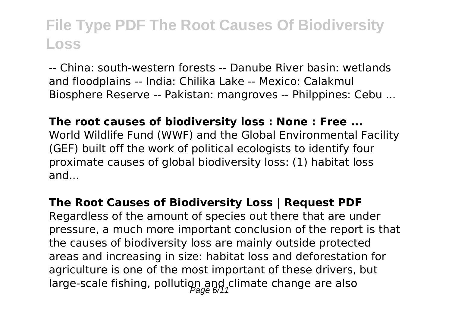-- China: south-western forests -- Danube River basin: wetlands and floodplains -- India: Chilika Lake -- Mexico: Calakmul Biosphere Reserve -- Pakistan: mangroves -- Philppines: Cebu ...

#### **The root causes of biodiversity loss : None : Free ...**

World Wildlife Fund (WWF) and the Global Environmental Facility (GEF) built off the work of political ecologists to identify four proximate causes of global biodiversity loss: (1) habitat loss and...

#### **The Root Causes of Biodiversity Loss | Request PDF**

Regardless of the amount of species out there that are under pressure, a much more important conclusion of the report is that the causes of biodiversity loss are mainly outside protected areas and increasing in size: habitat loss and deforestation for agriculture is one of the most important of these drivers, but large-scale fishing, pollution and climate change are also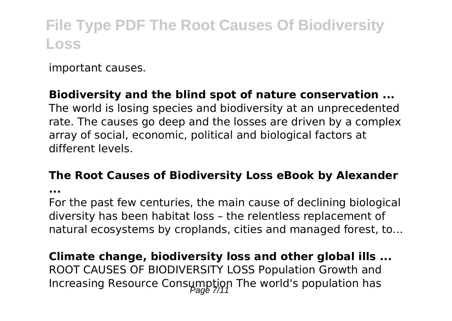important causes.

### **Biodiversity and the blind spot of nature conservation ...**

The world is losing species and biodiversity at an unprecedented rate. The causes go deep and the losses are driven by a complex array of social, economic, political and biological factors at different levels.

#### **The Root Causes of Biodiversity Loss eBook by Alexander**

**...**

For the past few centuries, the main cause of declining biological diversity has been habitat loss – the relentless replacement of natural ecosystems by croplands, cities and managed forest, to...

**Climate change, biodiversity loss and other global ills ...** ROOT CAUSES OF BIODIVERSITY LOSS Population Growth and Increasing Resource Consumption The world's population has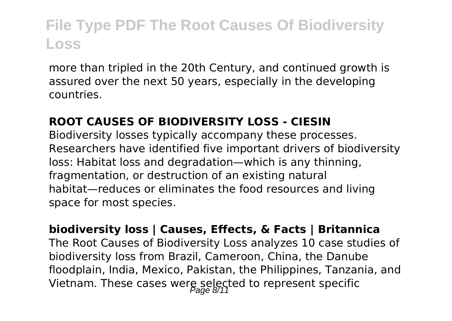more than tripled in the 20th Century, and continued growth is assured over the next 50 years, especially in the developing countries.

#### **ROOT CAUSES OF BIODIVERSITY LOSS - CIESIN**

Biodiversity losses typically accompany these processes. Researchers have identified five important drivers of biodiversity loss: Habitat loss and degradation—which is any thinning, fragmentation, or destruction of an existing natural habitat—reduces or eliminates the food resources and living space for most species.

**biodiversity loss | Causes, Effects, & Facts | Britannica** The Root Causes of Biodiversity Loss analyzes 10 case studies of biodiversity loss from Brazil, Cameroon, China, the Danube floodplain, India, Mexico, Pakistan, the Philippines, Tanzania, and Vietnam. These cases were selected to represent specific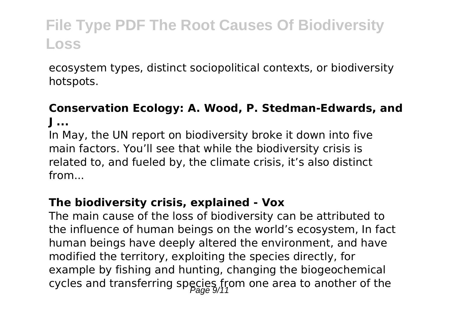ecosystem types, distinct sociopolitical contexts, or biodiversity hotspots.

### **Conservation Ecology: A. Wood, P. Stedman-Edwards, and J ...**

In May, the UN report on biodiversity broke it down into five main factors. You'll see that while the biodiversity crisis is related to, and fueled by, the climate crisis, it's also distinct from...

### **The biodiversity crisis, explained - Vox**

The main cause of the loss of biodiversity can be attributed to the influence of human beings on the world's ecosystem, In fact human beings have deeply altered the environment, and have modified the territory, exploiting the species directly, for example by fishing and hunting, changing the biogeochemical cycles and transferring species from one area to another of the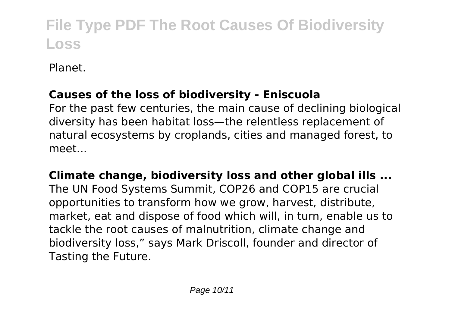Planet.

### **Causes of the loss of biodiversity - Eniscuola**

For the past few centuries, the main cause of declining biological diversity has been habitat loss—the relentless replacement of natural ecosystems by croplands, cities and managed forest, to meet...

**Climate change, biodiversity loss and other global ills ...** The UN Food Systems Summit, COP26 and COP15 are crucial opportunities to transform how we grow, harvest, distribute, market, eat and dispose of food which will, in turn, enable us to tackle the root causes of malnutrition, climate change and biodiversity loss," says Mark Driscoll, founder and director of Tasting the Future.